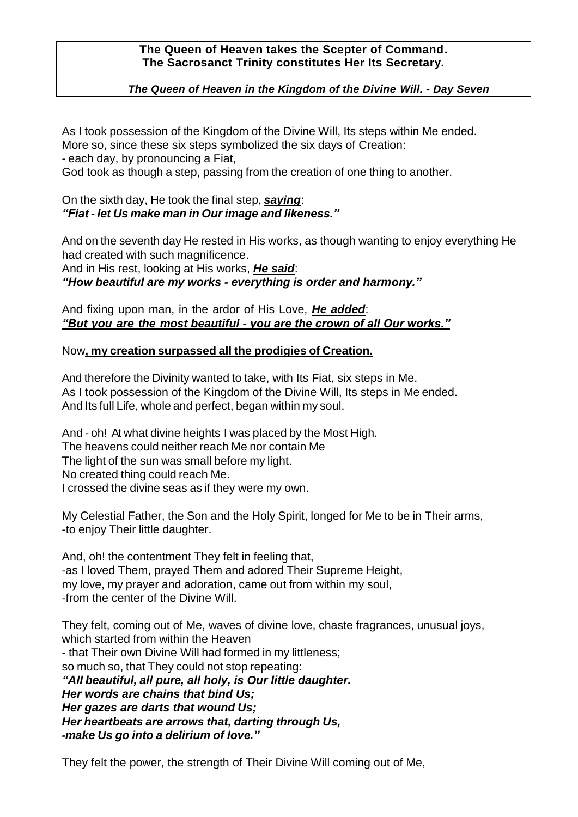### **The Queen of Heaven takes the Scepter of Command. The Sacrosanct Trinity constitutes Her Its Secretary.**

## *The Queen of Heaven in the Kingdom of the Divine Will. - Day Seven*

As I took possession of the Kingdom of the Divine Will, Its steps within Me ended. More so, since these six steps symbolized the six days of Creation:

- each day, by pronouncing a Fiat,

God took as though a step, passing from the creation of one thing to another.

On the sixth day, He took the final step, *saying*: *"Fiat - let Us make man in Our image and likeness."*

And on the seventh day He rested in His works, as though wanting to enjoy everything He had created with such magnificence.

And in His rest, looking at His works, *He said*: *"How beautiful are my works - everything is order and harmony."* 

And fixing upon man, in the ardor of His Love, *He added*: *"But you are the most beautiful - you are the crown of all Our works."*

#### Now**, my creation surpassed all the prodigies of Creation.**

And therefore the Divinity wanted to take, with Its Fiat, six steps in Me. As I took possession of the Kingdom of the Divine Will, Its steps in Me ended. And Its full Life, whole and perfect, began within my soul.

And - oh! At what divine heights I was placed by the Most High. The heavens could neither reach Me nor contain Me The light of the sun was small before my light. No created thing could reach Me. I crossed the divine seas as if they were my own.

My Celestial Father, the Son and the Holy Spirit, longed for Me to be in Their arms, -to enjoy Their little daughter.

And, oh! the contentment They felt in feeling that, -as I loved Them, prayed Them and adored Their Supreme Height, my love, my prayer and adoration, came out from within my soul, -from the center of the Divine Will.

They felt, coming out of Me, waves of divine love, chaste fragrances, unusual joys, which started from within the Heaven - that Their own Divine Will had formed in my littleness; so much so, that They could not stop repeating: *"All beautiful, all pure, all holy, is Our little daughter. Her words are chains that bind Us; Her gazes are darts that wound Us; Her heartbeats are arrows that, darting through Us, -make Us go into a delirium of love."* 

They felt the power, the strength of Their Divine Will coming out of Me,